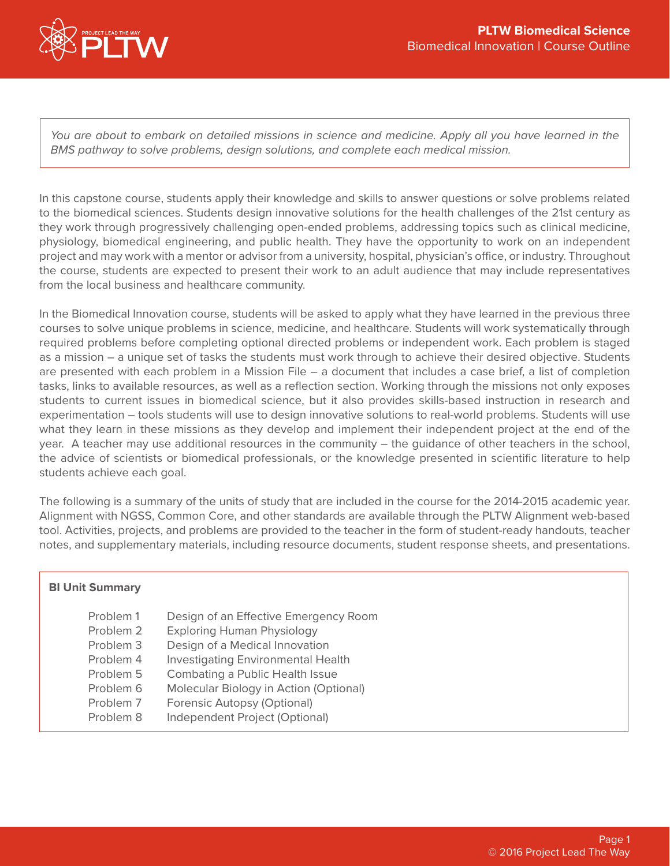

You are about to embark on detailed missions in science and medicine. Apply all you have learned in the *BMS pathway to solve problems, design solutions, and complete each medical mission.*

In this capstone course, students apply their knowledge and skills to answer questions or solve problems related to the biomedical sciences. Students design innovative solutions for the health challenges of the 21st century as they work through progressively challenging open-ended problems, addressing topics such as clinical medicine, physiology, biomedical engineering, and public health. They have the opportunity to work on an independent project and may work with a mentor or advisor from a university, hospital, physician's office, or industry. Throughout the course, students are expected to present their work to an adult audience that may include representatives from the local business and healthcare community.

In the Biomedical Innovation course, students will be asked to apply what they have learned in the previous three courses to solve unique problems in science, medicine, and healthcare. Students will work systematically through required problems before completing optional directed problems or independent work. Each problem is staged as a mission – a unique set of tasks the students must work through to achieve their desired objective. Students are presented with each problem in a Mission File – a document that includes a case brief, a list of completion tasks, links to available resources, as well as a reflection section. Working through the missions not only exposes students to current issues in biomedical science, but it also provides skills-based instruction in research and experimentation – tools students will use to design innovative solutions to real-world problems. Students will use what they learn in these missions as they develop and implement their independent project at the end of the year. A teacher may use additional resources in the community – the guidance of other teachers in the school, the advice of scientists or biomedical professionals, or the knowledge presented in scientific literature to help students achieve each goal.

The following is a summary of the units of study that are included in the course for the 2014-2015 academic year. Alignment with NGSS, Common Core, and other standards are available through the PLTW Alignment web-based tool. Activities, projects, and problems are provided to the teacher in the form of student-ready handouts, teacher notes, and supplementary materials, including resource documents, student response sheets, and presentations.

| <b>BI Unit Summary</b>                                                                  |                                                                                                                                                                                                                                                                       |
|-----------------------------------------------------------------------------------------|-----------------------------------------------------------------------------------------------------------------------------------------------------------------------------------------------------------------------------------------------------------------------|
| Problem 1<br>Problem 2<br>Problem 3<br>Problem 4<br>Problem 5<br>Problem 6<br>Problem 7 | Design of an Effective Emergency Room<br><b>Exploring Human Physiology</b><br>Design of a Medical Innovation<br><b>Investigating Environmental Health</b><br>Combating a Public Health Issue<br>Molecular Biology in Action (Optional)<br>Forensic Autopsy (Optional) |
| Problem 8                                                                               | Independent Project (Optional)                                                                                                                                                                                                                                        |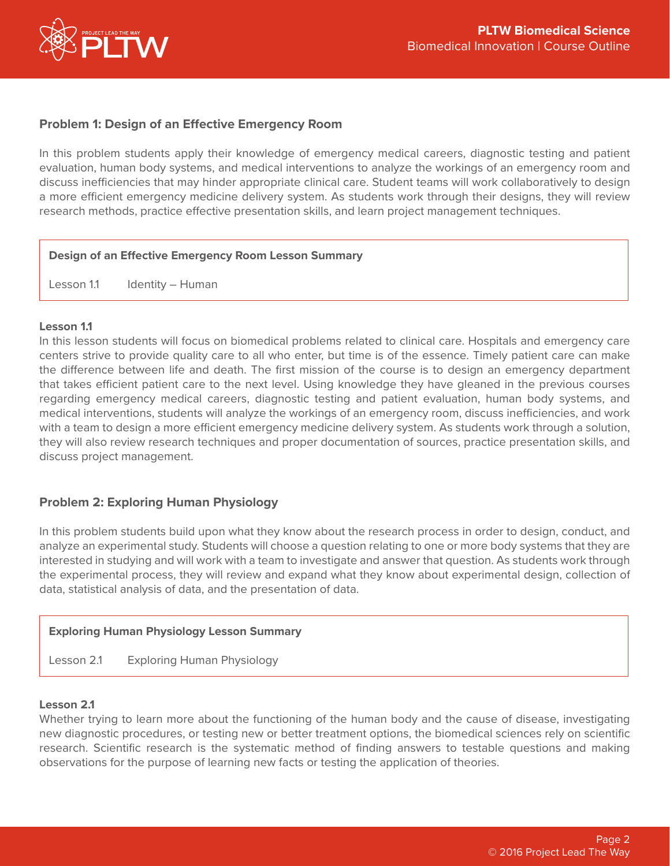

## **Problem 1: Design of an Effective Emergency Room**

In this problem students apply their knowledge of emergency medical careers, diagnostic testing and patient evaluation, human body systems, and medical interventions to analyze the workings of an emergency room and discuss inefficiencies that may hinder appropriate clinical care. Student teams will work collaboratively to design a more efficient emergency medicine delivery system. As students work through their designs, they will review research methods, practice effective presentation skills, and learn project management techniques.

#### **Design of an Effective Emergency Room Lesson Summary**

Lesson 1.1 Identity – Human

#### **Lesson 1.1**

In this lesson students will focus on biomedical problems related to clinical care. Hospitals and emergency care centers strive to provide quality care to all who enter, but time is of the essence. Timely patient care can make the difference between life and death. The first mission of the course is to design an emergency department that takes efficient patient care to the next level. Using knowledge they have gleaned in the previous courses regarding emergency medical careers, diagnostic testing and patient evaluation, human body systems, and medical interventions, students will analyze the workings of an emergency room, discuss inefficiencies, and work with a team to design a more efficient emergency medicine delivery system. As students work through a solution, they will also review research techniques and proper documentation of sources, practice presentation skills, and discuss project management.

## **Problem 2: Exploring Human Physiology**

In this problem students build upon what they know about the research process in order to design, conduct, and analyze an experimental study. Students will choose a question relating to one or more body systems that they are interested in studying and will work with a team to investigate and answer that question. As students work through the experimental process, they will review and expand what they know about experimental design, collection of data, statistical analysis of data, and the presentation of data.

## **Exploring Human Physiology Lesson Summary**

Lesson 2.1 Exploring Human Physiology

## **Lesson 2.1**

Whether trying to learn more about the functioning of the human body and the cause of disease, investigating new diagnostic procedures, or testing new or better treatment options, the biomedical sciences rely on scientific research. Scientific research is the systematic method of finding answers to testable questions and making observations for the purpose of learning new facts or testing the application of theories.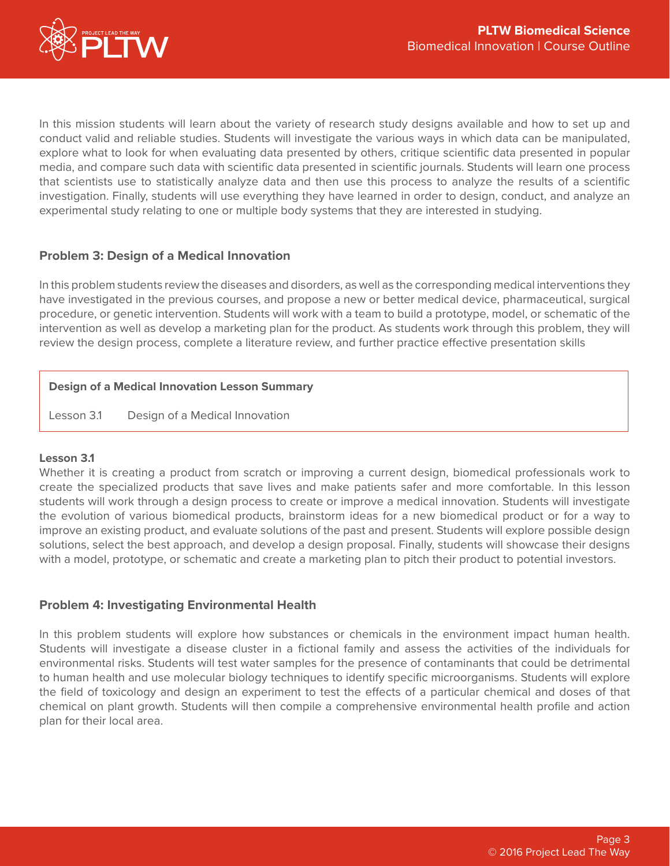

In this mission students will learn about the variety of research study designs available and how to set up and conduct valid and reliable studies. Students will investigate the various ways in which data can be manipulated, explore what to look for when evaluating data presented by others, critique scientific data presented in popular media, and compare such data with scientific data presented in scientific journals. Students will learn one process that scientists use to statistically analyze data and then use this process to analyze the results of a scientific investigation. Finally, students will use everything they have learned in order to design, conduct, and analyze an experimental study relating to one or multiple body systems that they are interested in studying.

# **Problem 3: Design of a Medical Innovation**

In this problem students review the diseases and disorders, as well as the corresponding medical interventions they have investigated in the previous courses, and propose a new or better medical device, pharmaceutical, surgical procedure, or genetic intervention. Students will work with a team to build a prototype, model, or schematic of the intervention as well as develop a marketing plan for the product. As students work through this problem, they will review the design process, complete a literature review, and further practice effective presentation skills

## **Design of a Medical Innovation Lesson Summary**

Lesson 3.1 Design of a Medical Innovation

## **Lesson 3.1**

Whether it is creating a product from scratch or improving a current design, biomedical professionals work to create the specialized products that save lives and make patients safer and more comfortable. In this lesson students will work through a design process to create or improve a medical innovation. Students will investigate the evolution of various biomedical products, brainstorm ideas for a new biomedical product or for a way to improve an existing product, and evaluate solutions of the past and present. Students will explore possible design solutions, select the best approach, and develop a design proposal. Finally, students will showcase their designs with a model, prototype, or schematic and create a marketing plan to pitch their product to potential investors.

## **Problem 4: Investigating Environmental Health**

In this problem students will explore how substances or chemicals in the environment impact human health. Students will investigate a disease cluster in a fictional family and assess the activities of the individuals for environmental risks. Students will test water samples for the presence of contaminants that could be detrimental to human health and use molecular biology techniques to identify specific microorganisms. Students will explore the field of toxicology and design an experiment to test the effects of a particular chemical and doses of that chemical on plant growth. Students will then compile a comprehensive environmental health profile and action plan for their local area.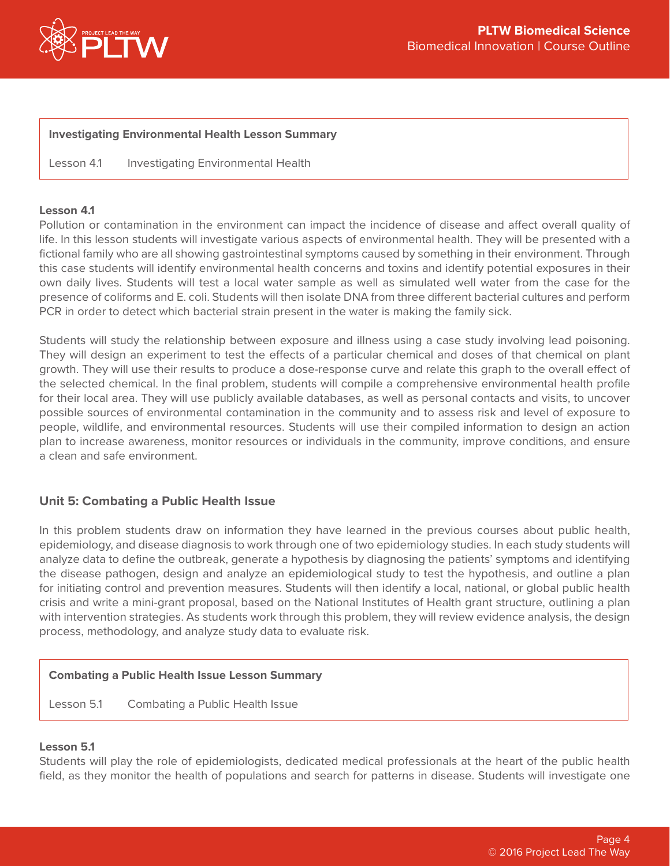

#### **Investigating Environmental Health Lesson Summary**

Lesson 4.1 Investigating Environmental Health

#### **Lesson 4.1**

Pollution or contamination in the environment can impact the incidence of disease and affect overall quality of life. In this lesson students will investigate various aspects of environmental health. They will be presented with a fictional family who are all showing gastrointestinal symptoms caused by something in their environment. Through this case students will identify environmental health concerns and toxins and identify potential exposures in their own daily lives. Students will test a local water sample as well as simulated well water from the case for the presence of coliforms and E. coli. Students will then isolate DNA from three different bacterial cultures and perform PCR in order to detect which bacterial strain present in the water is making the family sick.

Students will study the relationship between exposure and illness using a case study involving lead poisoning. They will design an experiment to test the effects of a particular chemical and doses of that chemical on plant growth. They will use their results to produce a dose-response curve and relate this graph to the overall effect of the selected chemical. In the final problem, students will compile a comprehensive environmental health profile for their local area. They will use publicly available databases, as well as personal contacts and visits, to uncover possible sources of environmental contamination in the community and to assess risk and level of exposure to people, wildlife, and environmental resources. Students will use their compiled information to design an action plan to increase awareness, monitor resources or individuals in the community, improve conditions, and ensure a clean and safe environment.

## **Unit 5: Combating a Public Health Issue**

In this problem students draw on information they have learned in the previous courses about public health, epidemiology, and disease diagnosis to work through one of two epidemiology studies. In each study students will analyze data to define the outbreak, generate a hypothesis by diagnosing the patients' symptoms and identifying the disease pathogen, design and analyze an epidemiological study to test the hypothesis, and outline a plan for initiating control and prevention measures. Students will then identify a local, national, or global public health crisis and write a mini-grant proposal, based on the National Institutes of Health grant structure, outlining a plan with intervention strategies. As students work through this problem, they will review evidence analysis, the design process, methodology, and analyze study data to evaluate risk.

#### **Combating a Public Health Issue Lesson Summary**

Lesson 5.1 Combating a Public Health Issue

#### **Lesson 5.1**

Students will play the role of epidemiologists, dedicated medical professionals at the heart of the public health field, as they monitor the health of populations and search for patterns in disease. Students will investigate one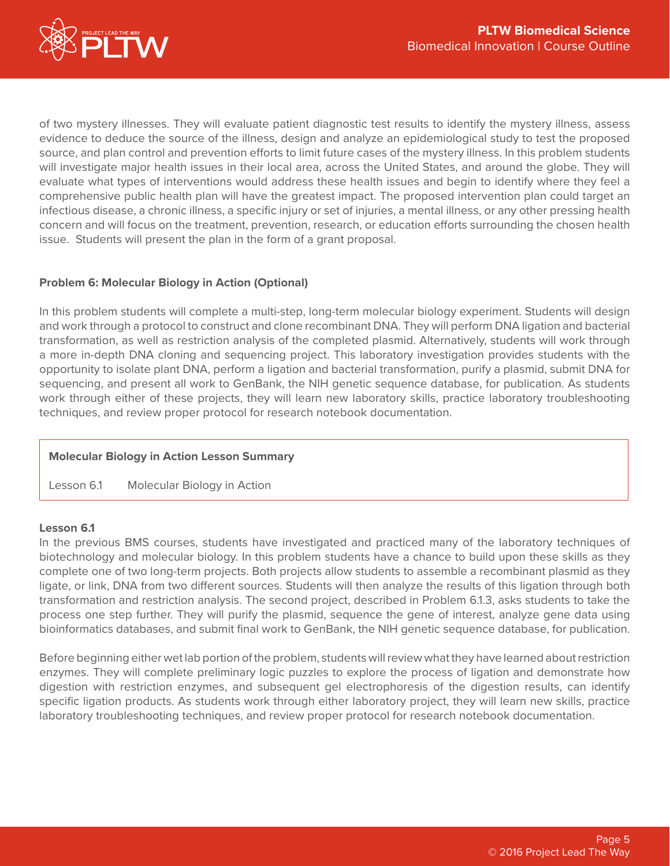

of two mystery illnesses. They will evaluate patient diagnostic test results to identify the mystery illness, assess evidence to deduce the source of the illness, design and analyze an epidemiological study to test the proposed source, and plan control and prevention efforts to limit future cases of the mystery illness. In this problem students will investigate major health issues in their local area, across the United States, and around the globe. They will evaluate what types of interventions would address these health issues and begin to identify where they feel a comprehensive public health plan will have the greatest impact. The proposed intervention plan could target an infectious disease, a chronic illness, a specific injury or set of injuries, a mental illness, or any other pressing health concern and will focus on the treatment, prevention, research, or education efforts surrounding the chosen health issue. Students will present the plan in the form of a grant proposal.

## **Problem 6: Molecular Biology in Action (Optional)**

In this problem students will complete a multi-step, long-term molecular biology experiment. Students will design and work through a protocol to construct and clone recombinant DNA. They will perform DNA ligation and bacterial transformation, as well as restriction analysis of the completed plasmid. Alternatively, students will work through a more in-depth DNA cloning and sequencing project. This laboratory investigation provides students with the opportunity to isolate plant DNA, perform a ligation and bacterial transformation, purify a plasmid, submit DNA for sequencing, and present all work to GenBank, the NIH genetic sequence database, for publication. As students work through either of these projects, they will learn new laboratory skills, practice laboratory troubleshooting techniques, and review proper protocol for research notebook documentation.

## **Molecular Biology in Action Lesson Summary**

Lesson 6.1 Molecular Biology in Action

## **Lesson 6.1**

In the previous BMS courses, students have investigated and practiced many of the laboratory techniques of biotechnology and molecular biology. In this problem students have a chance to build upon these skills as they complete one of two long-term projects. Both projects allow students to assemble a recombinant plasmid as they ligate, or link, DNA from two different sources. Students will then analyze the results of this ligation through both transformation and restriction analysis. The second project, described in Problem 6.1.3, asks students to take the process one step further. They will purify the plasmid, sequence the gene of interest, analyze gene data using bioinformatics databases, and submit final work to GenBank, the NIH genetic sequence database, for publication.

Before beginning either wet lab portion of the problem, students will review what they have learned about restriction enzymes. They will complete preliminary logic puzzles to explore the process of ligation and demonstrate how digestion with restriction enzymes, and subsequent gel electrophoresis of the digestion results, can identify specific ligation products. As students work through either laboratory project, they will learn new skills, practice laboratory troubleshooting techniques, and review proper protocol for research notebook documentation.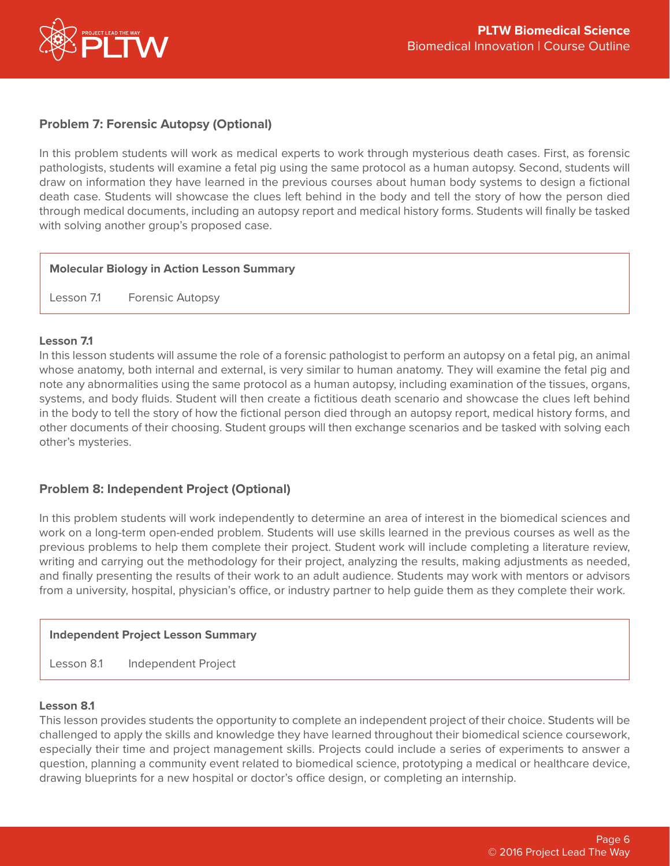

# **Problem 7: Forensic Autopsy (Optional)**

In this problem students will work as medical experts to work through mysterious death cases. First, as forensic pathologists, students will examine a fetal pig using the same protocol as a human autopsy. Second, students will draw on information they have learned in the previous courses about human body systems to design a fictional death case. Students will showcase the clues left behind in the body and tell the story of how the person died through medical documents, including an autopsy report and medical history forms. Students will finally be tasked with solving another group's proposed case.

## **Molecular Biology in Action Lesson Summary**

Lesson 7.1 Forensic Autopsy

## **Lesson 7.1**

In this lesson students will assume the role of a forensic pathologist to perform an autopsy on a fetal pig, an animal whose anatomy, both internal and external, is very similar to human anatomy. They will examine the fetal pig and note any abnormalities using the same protocol as a human autopsy, including examination of the tissues, organs, systems, and body fluids. Student will then create a fictitious death scenario and showcase the clues left behind in the body to tell the story of how the fictional person died through an autopsy report, medical history forms, and other documents of their choosing. Student groups will then exchange scenarios and be tasked with solving each other's mysteries.

## **Problem 8: Independent Project (Optional)**

In this problem students will work independently to determine an area of interest in the biomedical sciences and work on a long-term open-ended problem. Students will use skills learned in the previous courses as well as the previous problems to help them complete their project. Student work will include completing a literature review, writing and carrying out the methodology for their project, analyzing the results, making adjustments as needed, and finally presenting the results of their work to an adult audience. Students may work with mentors or advisors from a university, hospital, physician's office, or industry partner to help guide them as they complete their work.

## **Independent Project Lesson Summary**

Lesson 8.1 Independent Project

## **Lesson 8.1**

This lesson provides students the opportunity to complete an independent project of their choice. Students will be challenged to apply the skills and knowledge they have learned throughout their biomedical science coursework, especially their time and project management skills. Projects could include a series of experiments to answer a question, planning a community event related to biomedical science, prototyping a medical or healthcare device, drawing blueprints for a new hospital or doctor's office design, or completing an internship.